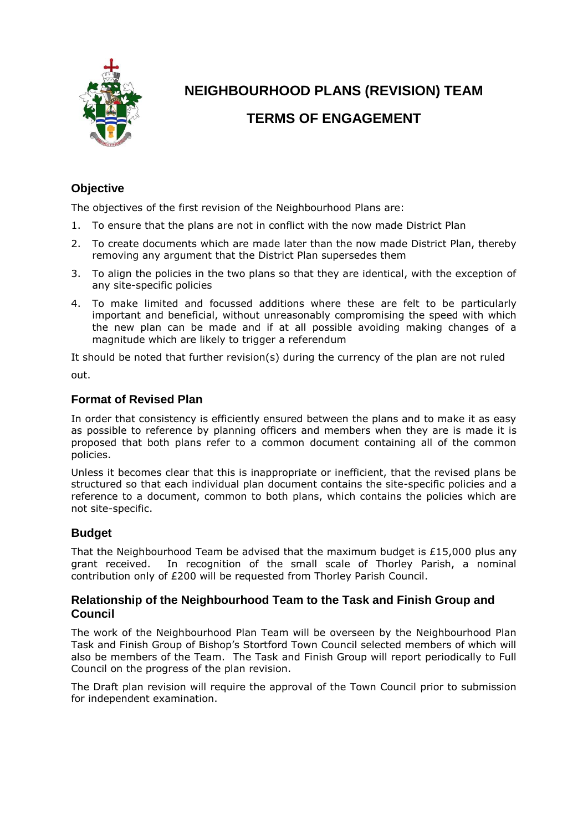

## **NEIGHBOURHOOD PLANS (REVISION) TEAM**

### **TERMS OF ENGAGEMENT**

#### **Objective**

The objectives of the first revision of the Neighbourhood Plans are:

- 1. To ensure that the plans are not in conflict with the now made District Plan
- 2. To create documents which are made later than the now made District Plan, thereby removing any argument that the District Plan supersedes them
- 3. To align the policies in the two plans so that they are identical, with the exception of any site-specific policies
- 4. To make limited and focussed additions where these are felt to be particularly important and beneficial, without unreasonably compromising the speed with which the new plan can be made and if at all possible avoiding making changes of a magnitude which are likely to trigger a referendum

It should be noted that further revision(s) during the currency of the plan are not ruled out.

#### **Format of Revised Plan**

In order that consistency is efficiently ensured between the plans and to make it as easy as possible to reference by planning officers and members when they are is made it is proposed that both plans refer to a common document containing all of the common policies.

Unless it becomes clear that this is inappropriate or inefficient, that the revised plans be structured so that each individual plan document contains the site-specific policies and a reference to a document, common to both plans, which contains the policies which are not site-specific.

#### **Budget**

That the Neighbourhood Team be advised that the maximum budget is £15,000 plus any grant received. In recognition of the small scale of Thorley Parish, a nominal contribution only of £200 will be requested from Thorley Parish Council.

#### **Relationship of the Neighbourhood Team to the Task and Finish Group and Council**

The work of the Neighbourhood Plan Team will be overseen by the Neighbourhood Plan Task and Finish Group of Bishop's Stortford Town Council selected members of which will also be members of the Team. The Task and Finish Group will report periodically to Full Council on the progress of the plan revision.

The Draft plan revision will require the approval of the Town Council prior to submission for independent examination.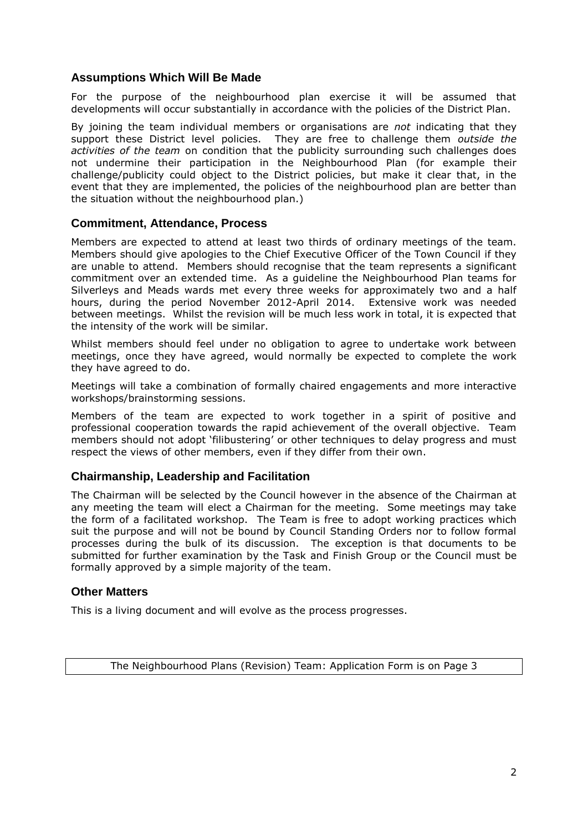#### **Assumptions Which Will Be Made**

For the purpose of the neighbourhood plan exercise it will be assumed that developments will occur substantially in accordance with the policies of the District Plan.

By joining the team individual members or organisations are *not* indicating that they support these District level policies. They are free to challenge them *outside the activities of the team* on condition that the publicity surrounding such challenges does not undermine their participation in the Neighbourhood Plan (for example their challenge/publicity could object to the District policies, but make it clear that, in the event that they are implemented, the policies of the neighbourhood plan are better than the situation without the neighbourhood plan.)

#### **Commitment, Attendance, Process**

Members are expected to attend at least two thirds of ordinary meetings of the team. Members should give apologies to the Chief Executive Officer of the Town Council if they are unable to attend. Members should recognise that the team represents a significant commitment over an extended time. As a guideline the Neighbourhood Plan teams for Silverleys and Meads wards met every three weeks for approximately two and a half hours, during the period November 2012-April 2014. Extensive work was needed between meetings. Whilst the revision will be much less work in total, it is expected that the intensity of the work will be similar.

Whilst members should feel under no obligation to agree to undertake work between meetings, once they have agreed, would normally be expected to complete the work they have agreed to do.

Meetings will take a combination of formally chaired engagements and more interactive workshops/brainstorming sessions.

Members of the team are expected to work together in a spirit of positive and professional cooperation towards the rapid achievement of the overall objective. Team members should not adopt 'filibustering' or other techniques to delay progress and must respect the views of other members, even if they differ from their own.

#### **Chairmanship, Leadership and Facilitation**

The Chairman will be selected by the Council however in the absence of the Chairman at any meeting the team will elect a Chairman for the meeting. Some meetings may take the form of a facilitated workshop. The Team is free to adopt working practices which suit the purpose and will not be bound by Council Standing Orders nor to follow formal processes during the bulk of its discussion. The exception is that documents to be submitted for further examination by the Task and Finish Group or the Council must be formally approved by a simple majority of the team.

#### **Other Matters**

This is a living document and will evolve as the process progresses.

The Neighbourhood Plans (Revision) Team: Application Form is on Page 3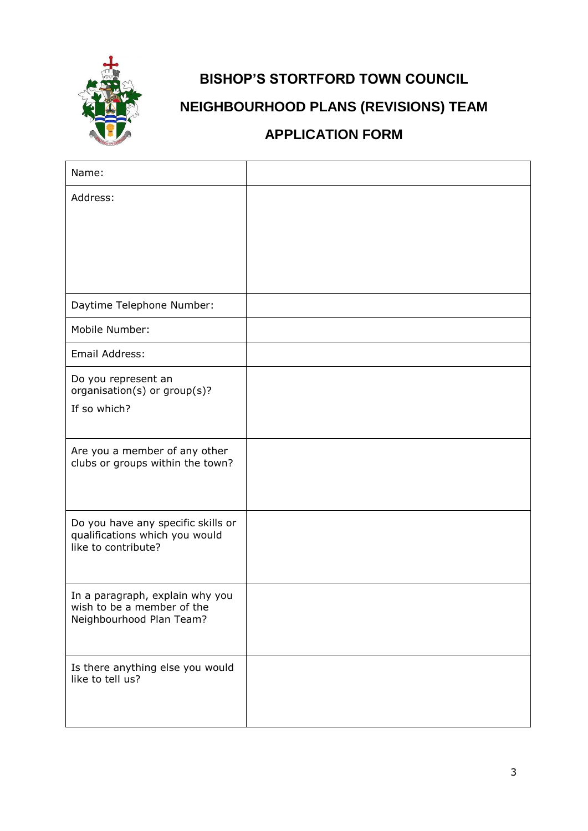

# **BISHOP'S STORTFORD TOWN COUNCIL NEIGHBOURHOOD PLANS (REVISIONS) TEAM APPLICATION FORM**

# Name: Address: Daytime Telephone Number: Mobile Number: Email Address: Do you represent an organisation(s) or group(s)? If so which? Are you a member of any other clubs or groups within the town? Do you have any specific skills or qualifications which you would like to contribute? In a paragraph, explain why you wish to be a member of the Neighbourhood Plan Team? Is there anything else you would like to tell us?